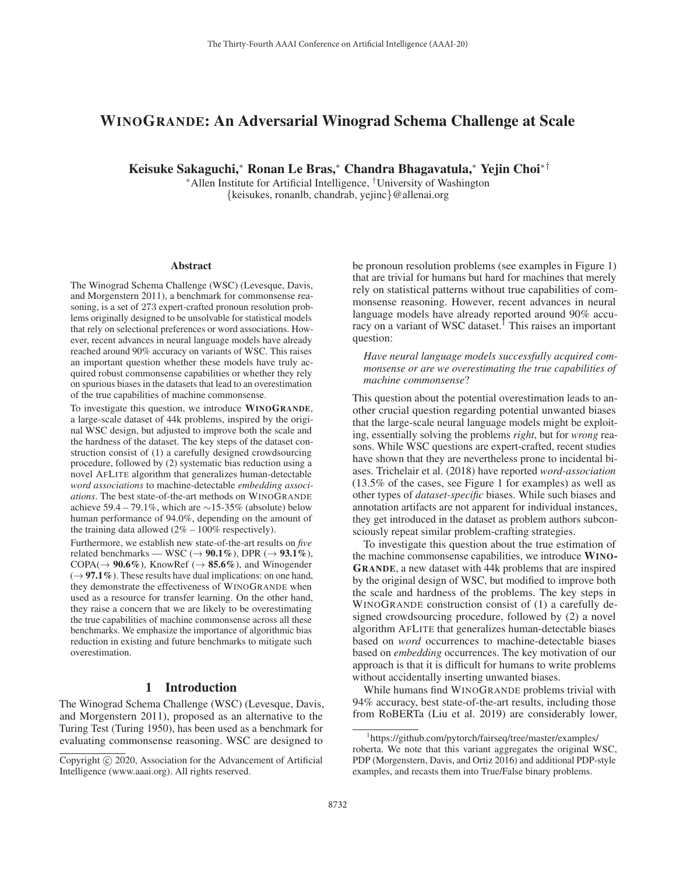# WINOGRANDE: An Adversarial Winograd Schema Challenge at Scale

Keisuke Sakaguchi,<sup>∗</sup> Ronan Le Bras,<sup>∗</sup> Chandra Bhagavatula,<sup>∗</sup> Yejin Choi∗†

<sup>∗</sup>Allen Institute for Artificial Intelligence, †University of Washington {keisukes, ronanlb, chandrab, yejinc}@allenai.org

#### Abstract

The Winograd Schema Challenge (WSC) (Levesque, Davis, and Morgenstern 2011), a benchmark for commonsense reasoning, is a set of 273 expert-crafted pronoun resolution problems originally designed to be unsolvable for statistical models that rely on selectional preferences or word associations. However, recent advances in neural language models have already reached around 90% accuracy on variants of WSC. This raises an important question whether these models have truly acquired robust commonsense capabilities or whether they rely on spurious biases in the datasets that lead to an overestimation of the true capabilities of machine commonsense.

To investigate this question, we introduce WINOGRANDE, a large-scale dataset of 44k problems, inspired by the original WSC design, but adjusted to improve both the scale and the hardness of the dataset. The key steps of the dataset construction consist of (1) a carefully designed crowdsourcing procedure, followed by (2) systematic bias reduction using a novel AFLITE algorithm that generalizes human-detectable *word associations* to machine-detectable *embedding associations*. The best state-of-the-art methods on WINOGRANDE achieve 59.4 – 79.1%, which are  $\sim$ 15-35% (absolute) below human performance of 94.0%, depending on the amount of the training data allowed  $(2\% - 100\%$  respectively).

Furthermore, we establish new state-of-the-art results on *five* related benchmarks — WSC ( $\rightarrow$  90.1%), DPR ( $\rightarrow$  93.1%),  $COPA(\rightarrow 90.6\%)$ , KnowRef ( $\rightarrow 85.6\%$ ), and Winogender  $(\rightarrow 97.1\%)$ . These results have dual implications: on one hand, they demonstrate the effectiveness of WINOGRANDE when used as a resource for transfer learning. On the other hand, they raise a concern that we are likely to be overestimating the true capabilities of machine commonsense across all these benchmarks. We emphasize the importance of algorithmic bias reduction in existing and future benchmarks to mitigate such overestimation.

## 1 Introduction

The Winograd Schema Challenge (WSC) (Levesque, Davis, and Morgenstern 2011), proposed as an alternative to the Turing Test (Turing 1950), has been used as a benchmark for evaluating commonsense reasoning. WSC are designed to

be pronoun resolution problems (see examples in Figure 1) that are trivial for humans but hard for machines that merely rely on statistical patterns without true capabilities of commonsense reasoning. However, recent advances in neural language models have already reported around 90% accuracy on a variant of WSC dataset.<sup>1</sup> This raises an important question:

*Have neural language models successfully acquired commonsense or are we overestimating the true capabilities of machine commonsense*?

This question about the potential overestimation leads to another crucial question regarding potential unwanted biases that the large-scale neural language models might be exploiting, essentially solving the problems *right*, but for *wrong* reasons. While WSC questions are expert-crafted, recent studies have shown that they are nevertheless prone to incidental biases. Trichelair et al. (2018) have reported *word-association* (13.5% of the cases, see Figure 1 for examples) as well as other types of *dataset-specific* biases. While such biases and annotation artifacts are not apparent for individual instances, they get introduced in the dataset as problem authors subconsciously repeat similar problem-crafting strategies.

To investigate this question about the true estimation of the machine commonsense capabilities, we introduce WINO-GRANDE, a new dataset with 44k problems that are inspired by the original design of WSC, but modified to improve both the scale and hardness of the problems. The key steps in WINOGRANDE construction consist of (1) a carefully designed crowdsourcing procedure, followed by (2) a novel algorithm AFLITE that generalizes human-detectable biases based on *word* occurrences to machine-detectable biases based on *embedding* occurrences. The key motivation of our approach is that it is difficult for humans to write problems without accidentally inserting unwanted biases.

While humans find WINOGRANDE problems trivial with 94% accuracy, best state-of-the-art results, including those from RoBERTa (Liu et al. 2019) are considerably lower,

Copyright  $\odot$  2020, Association for the Advancement of Artificial Intelligence (www.aaai.org). All rights reserved.

<sup>1</sup> https://github.com/pytorch/fairseq/tree/master/examples/ roberta. We note that this variant aggregates the original WSC, PDP (Morgenstern, Davis, and Ortiz 2016) and additional PDP-style examples, and recasts them into True/False binary problems.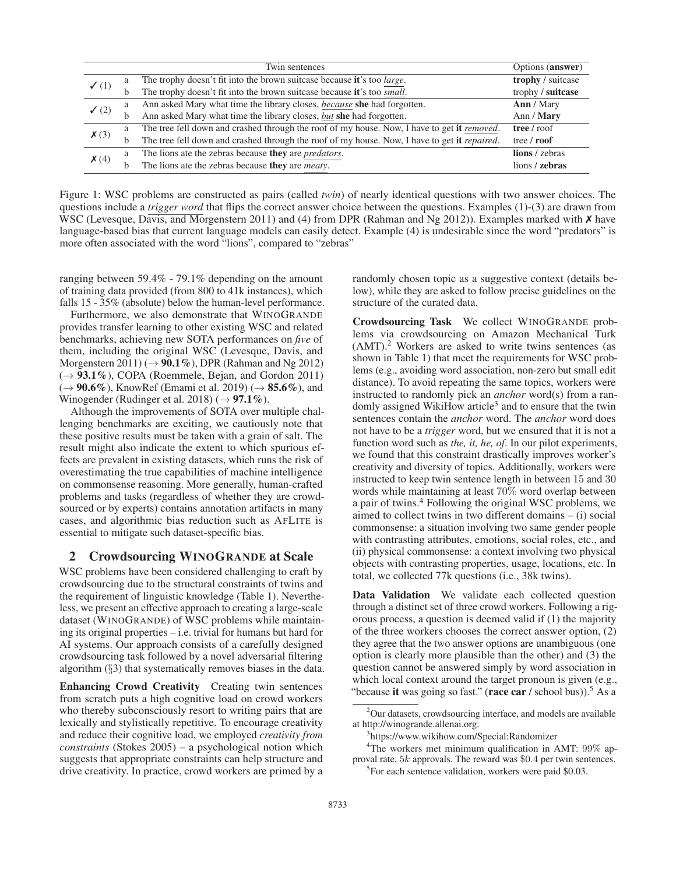|                     |   | Twin sentences                                                                                       | Options (answer)  |
|---------------------|---|------------------------------------------------------------------------------------------------------|-------------------|
| $\checkmark$ (1)    | a | The trophy doesn't fit into the brown suitcase because it's too large.                               | trophy / suitcase |
|                     | b | The trophy doesn't fit into the brown suitcase because it's too small.                               | trophy / suitcase |
| $\checkmark$ (2)    | a | Ann asked Mary what time the library closes, because she had forgotten.                              | Ann / Mary        |
|                     | b | Ann asked Mary what time the library closes, but she had forgotten.                                  | Ann / Mary        |
| $\boldsymbol{X}(3)$ | a | The tree fell down and crashed through the roof of my house. Now, I have to get it <i>removed</i> .  | tree / roof       |
|                     | b | The tree fell down and crashed through the roof of my house. Now, I have to get it <i>repaired</i> . | tree / roof       |
| $\mathsf{X}(4)$     | a | The lions ate the zebras because they are <i>predators</i> .                                         | lions / zebras    |
|                     | h | The lions ate the zebras because they are <i>meaty</i> .                                             | lions / zebras    |

Figure 1: WSC problems are constructed as pairs (called *twin*) of nearly identical questions with two answer choices. The questions include a *trigger word* that flips the correct answer choice between the questions. Examples (1)-(3) are drawn from WSC (Levesque, Davis, and Morgenstern 2011) and (4) from DPR (Rahman and Ng 2012)). Examples marked with **X** have language-based bias that current language models can easily detect. Example (4) is undesirable since the word "predators" is more often associated with the word "lions", compared to "zebras"

ranging between 59.4% - 79.1% depending on the amount of training data provided (from 800 to 41k instances), which falls 15 - 35% (absolute) below the human-level performance.

Furthermore, we also demonstrate that WINOGRANDE provides transfer learning to other existing WSC and related benchmarks, achieving new SOTA performances on *five* of them, including the original WSC (Levesque, Davis, and Morgenstern 2011) ( $\rightarrow$  90.1%), DPR (Rahman and Ng 2012)  $(\rightarrow 93.1\%)$ , COPA (Roemmele, Bejan, and Gordon 2011)  $(\rightarrow 90.6\%)$ , KnowRef (Emami et al. 2019)  $(\rightarrow 85.6\%)$ , and Winogender (Rudinger et al. 2018) ( $\rightarrow$  97.1%).

Although the improvements of SOTA over multiple challenging benchmarks are exciting, we cautiously note that these positive results must be taken with a grain of salt. The result might also indicate the extent to which spurious effects are prevalent in existing datasets, which runs the risk of overestimating the true capabilities of machine intelligence on commonsense reasoning. More generally, human-crafted problems and tasks (regardless of whether they are crowdsourced or by experts) contains annotation artifacts in many cases, and algorithmic bias reduction such as AFLITE is essential to mitigate such dataset-specific bias.

#### 2 Crowdsourcing WINOGRANDE at Scale

WSC problems have been considered challenging to craft by crowdsourcing due to the structural constraints of twins and the requirement of linguistic knowledge (Table 1). Nevertheless, we present an effective approach to creating a large-scale dataset (WINOGRANDE) of WSC problems while maintaining its original properties – i.e. trivial for humans but hard for AI systems. Our approach consists of a carefully designed crowdsourcing task followed by a novel adversarial filtering algorithm (§3) that systematically removes biases in the data.

Enhancing Crowd Creativity Creating twin sentences from scratch puts a high cognitive load on crowd workers who thereby subconsciously resort to writing pairs that are lexically and stylistically repetitive. To encourage creativity and reduce their cognitive load, we employed *creativity from constraints* (Stokes 2005) – a psychological notion which suggests that appropriate constraints can help structure and drive creativity. In practice, crowd workers are primed by a

randomly chosen topic as a suggestive context (details below), while they are asked to follow precise guidelines on the structure of the curated data.

Crowdsourcing Task We collect WINOGRANDE problems via crowdsourcing on Amazon Mechanical Turk  $(AMT)<sup>2</sup>$  Workers are asked to write twins sentences (as shown in Table 1) that meet the requirements for WSC problems (e.g., avoiding word association, non-zero but small edit distance). To avoid repeating the same topics, workers were instructed to randomly pick an *anchor* word(s) from a randomly assigned WikiHow article<sup>3</sup> and to ensure that the twin sentences contain the *anchor* word. The *anchor* word does not have to be a *trigger* word, but we ensured that it is not a function word such as *the, it, he, of*. In our pilot experiments, we found that this constraint drastically improves worker's creativity and diversity of topics. Additionally, workers were instructed to keep twin sentence length in between 15 and 30 words while maintaining at least 70% word overlap between a pair of twins.<sup>4</sup> Following the original WSC problems, we aimed to collect twins in two different domains – (i) social commonsense: a situation involving two same gender people with contrasting attributes, emotions, social roles, etc., and (ii) physical commonsense: a context involving two physical objects with contrasting properties, usage, locations, etc. In total, we collected 77k questions (i.e., 38k twins).

Data Validation We validate each collected question through a distinct set of three crowd workers. Following a rigorous process, a question is deemed valid if (1) the majority of the three workers chooses the correct answer option, (2) they agree that the two answer options are unambiguous (one option is clearly more plausible than the other) and (3) the question cannot be answered simply by word association in which local context around the target pronoun is given (e.g., "because it was going so fast." (race car / school bus)).<sup>5</sup> As a

<sup>&</sup>lt;sup>2</sup>Our datasets, crowdsourcing interface, and models are available at http://winogrande.allenai.org.

<sup>3</sup> https://www.wikihow.com/Special:Randomizer

<sup>&</sup>lt;sup>4</sup>The workers met minimum qualification in AMT: 99% approval rate, 5k approvals. The reward was \$0.4 per twin sentences.

<sup>&</sup>lt;sup>5</sup>For each sentence validation, workers were paid \$0.03.